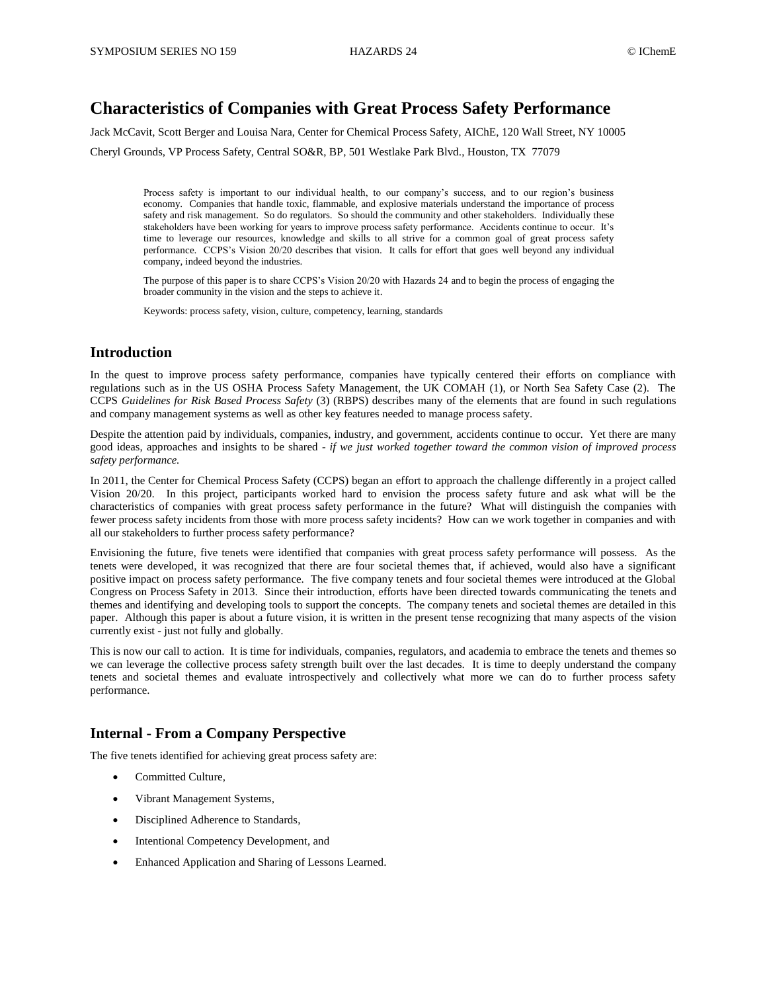## **Characteristics of Companies with Great Process Safety Performance**

Jack McCavit, Scott Berger and Louisa Nara, Center for Chemical Process Safety, AIChE, 120 Wall Street, NY 10005

Cheryl Grounds, VP Process Safety, Central SO&R, BP, 501 Westlake Park Blvd., Houston, TX 77079

Process safety is important to our individual health, to our company's success, and to our region's business economy. Companies that handle toxic, flammable, and explosive materials understand the importance of process safety and risk management. So do regulators. So should the community and other stakeholders. Individually these stakeholders have been working for years to improve process safety performance. Accidents continue to occur. It's time to leverage our resources, knowledge and skills to all strive for a common goal of great process safety performance. CCPS's Vision 20/20 describes that vision. It calls for effort that goes well beyond any individual company, indeed beyond the industries.

The purpose of this paper is to share CCPS's Vision 20/20 with Hazards 24 and to begin the process of engaging the broader community in the vision and the steps to achieve it.

Keywords: process safety, vision, culture, competency, learning, standards

### **Introduction**

In the quest to improve process safety performance, companies have typically centered their efforts on compliance with regulations such as in the US OSHA Process Safety Management, the UK COMAH (1), or North Sea Safety Case (2). The CCPS *Guidelines for Risk Based Process Safety* (3) (RBPS) describes many of the elements that are found in such regulations and company management systems as well as other key features needed to manage process safety.

Despite the attention paid by individuals, companies, industry, and government, accidents continue to occur. Yet there are many good ideas, approaches and insights to be shared - *if we just worked together toward the common vision of improved process safety performance.*

In 2011, the Center for Chemical Process Safety (CCPS) began an effort to approach the challenge differently in a project called Vision 20/20. In this project, participants worked hard to envision the process safety future and ask what will be the characteristics of companies with great process safety performance in the future? What will distinguish the companies with fewer process safety incidents from those with more process safety incidents? How can we work together in companies and with all our stakeholders to further process safety performance?

Envisioning the future, five tenets were identified that companies with great process safety performance will possess. As the tenets were developed, it was recognized that there are four societal themes that, if achieved, would also have a significant positive impact on process safety performance. The five company tenets and four societal themes were introduced at the Global Congress on Process Safety in 2013. Since their introduction, efforts have been directed towards communicating the tenets and themes and identifying and developing tools to support the concepts. The company tenets and societal themes are detailed in this paper. Although this paper is about a future vision, it is written in the present tense recognizing that many aspects of the vision currently exist - just not fully and globally.

This is now our call to action. It is time for individuals, companies, regulators, and academia to embrace the tenets and themes so we can leverage the collective process safety strength built over the last decades. It is time to deeply understand the company tenets and societal themes and evaluate introspectively and collectively what more we can do to further process safety performance.

## **Internal - From a Company Perspective**

The five tenets identified for achieving great process safety are:

- Committed Culture,
- Vibrant Management Systems,
- Disciplined Adherence to Standards,
- Intentional Competency Development, and
- Enhanced Application and Sharing of Lessons Learned.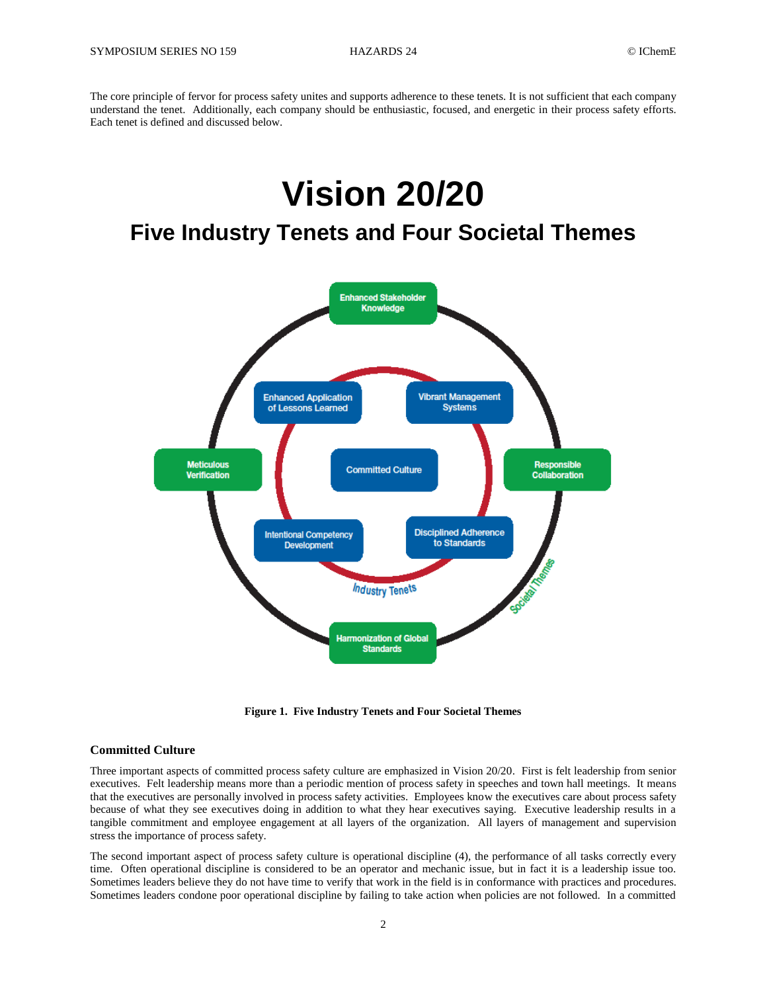The core principle of fervor for process safety unites and supports adherence to these tenets. It is not sufficient that each company understand the tenet. Additionally, each company should be enthusiastic, focused, and energetic in their process safety efforts. Each tenet is defined and discussed below.

# **Vision 20/20**

# **Five Industry Tenets and Four Societal Themes**



**Figure 1. Five Industry Tenets and Four Societal Themes**

#### **Committed Culture**

Three important aspects of committed process safety culture are emphasized in Vision 20/20. First is felt leadership from senior executives. Felt leadership means more than a periodic mention of process safety in speeches and town hall meetings. It means that the executives are personally involved in process safety activities. Employees know the executives care about process safety because of what they see executives doing in addition to what they hear executives saying. Executive leadership results in a tangible commitment and employee engagement at all layers of the organization. All layers of management and supervision stress the importance of process safety.

The second important aspect of process safety culture is operational discipline (4), the performance of all tasks correctly every time. Often operational discipline is considered to be an operator and mechanic issue, but in fact it is a leadership issue too. Sometimes leaders believe they do not have time to verify that work in the field is in conformance with practices and procedures. Sometimes leaders condone poor operational discipline by failing to take action when policies are not followed. In a committed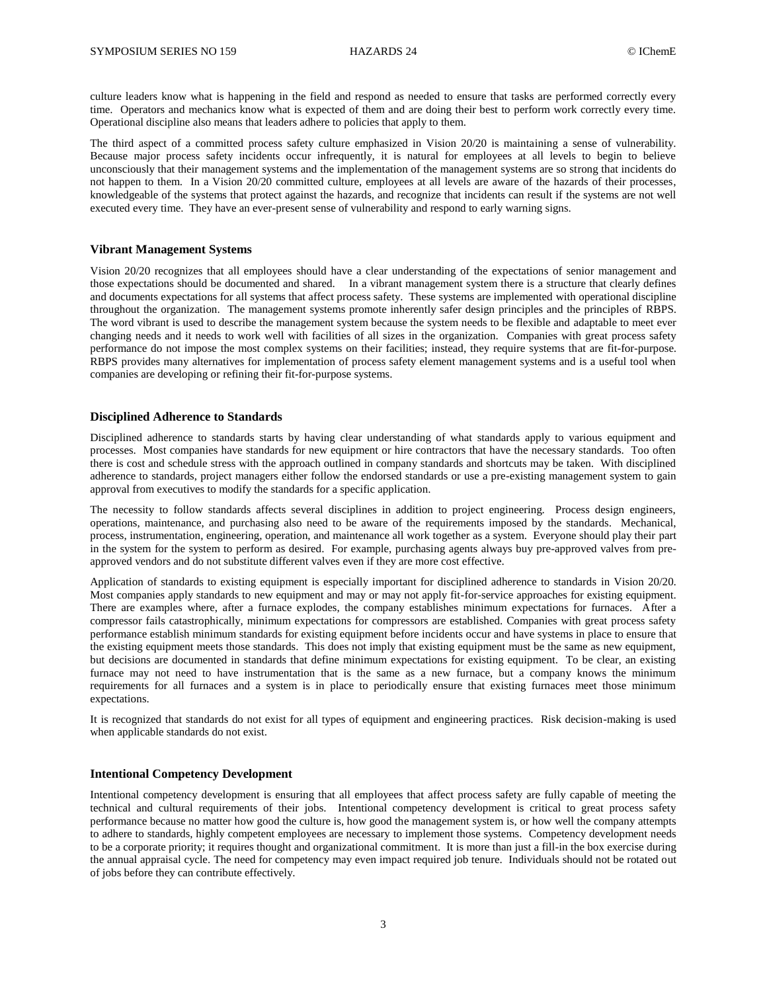culture leaders know what is happening in the field and respond as needed to ensure that tasks are performed correctly every time. Operators and mechanics know what is expected of them and are doing their best to perform work correctly every time. Operational discipline also means that leaders adhere to policies that apply to them.

The third aspect of a committed process safety culture emphasized in Vision 20/20 is maintaining a sense of vulnerability. Because major process safety incidents occur infrequently, it is natural for employees at all levels to begin to believe unconsciously that their management systems and the implementation of the management systems are so strong that incidents do not happen to them. In a Vision 20/20 committed culture, employees at all levels are aware of the hazards of their processes, knowledgeable of the systems that protect against the hazards, and recognize that incidents can result if the systems are not well executed every time. They have an ever-present sense of vulnerability and respond to early warning signs.

#### **Vibrant Management Systems**

Vision 20/20 recognizes that all employees should have a clear understanding of the expectations of senior management and those expectations should be documented and shared. In a vibrant management system there is a structure that clearly defines and documents expectations for all systems that affect process safety. These systems are implemented with operational discipline throughout the organization. The management systems promote inherently safer design principles and the principles of RBPS. The word vibrant is used to describe the management system because the system needs to be flexible and adaptable to meet ever changing needs and it needs to work well with facilities of all sizes in the organization. Companies with great process safety performance do not impose the most complex systems on their facilities; instead, they require systems that are fit-for-purpose. RBPS provides many alternatives for implementation of process safety element management systems and is a useful tool when companies are developing or refining their fit-for-purpose systems.

#### **Disciplined Adherence to Standards**

Disciplined adherence to standards starts by having clear understanding of what standards apply to various equipment and processes. Most companies have standards for new equipment or hire contractors that have the necessary standards. Too often there is cost and schedule stress with the approach outlined in company standards and shortcuts may be taken. With disciplined adherence to standards, project managers either follow the endorsed standards or use a pre-existing management system to gain approval from executives to modify the standards for a specific application.

The necessity to follow standards affects several disciplines in addition to project engineering. Process design engineers, operations, maintenance, and purchasing also need to be aware of the requirements imposed by the standards. Mechanical, process, instrumentation, engineering, operation, and maintenance all work together as a system. Everyone should play their part in the system for the system to perform as desired. For example, purchasing agents always buy pre-approved valves from preapproved vendors and do not substitute different valves even if they are more cost effective.

Application of standards to existing equipment is especially important for disciplined adherence to standards in Vision 20/20. Most companies apply standards to new equipment and may or may not apply fit-for-service approaches for existing equipment. There are examples where, after a furnace explodes, the company establishes minimum expectations for furnaces. After a compressor fails catastrophically, minimum expectations for compressors are established. Companies with great process safety performance establish minimum standards for existing equipment before incidents occur and have systems in place to ensure that the existing equipment meets those standards. This does not imply that existing equipment must be the same as new equipment, but decisions are documented in standards that define minimum expectations for existing equipment. To be clear, an existing furnace may not need to have instrumentation that is the same as a new furnace, but a company knows the minimum requirements for all furnaces and a system is in place to periodically ensure that existing furnaces meet those minimum expectations.

It is recognized that standards do not exist for all types of equipment and engineering practices. Risk decision-making is used when applicable standards do not exist.

#### **Intentional Competency Development**

Intentional competency development is ensuring that all employees that affect process safety are fully capable of meeting the technical and cultural requirements of their jobs. Intentional competency development is critical to great process safety performance because no matter how good the culture is, how good the management system is, or how well the company attempts to adhere to standards, highly competent employees are necessary to implement those systems. Competency development needs to be a corporate priority; it requires thought and organizational commitment. It is more than just a fill-in the box exercise during the annual appraisal cycle. The need for competency may even impact required job tenure. Individuals should not be rotated out of jobs before they can contribute effectively.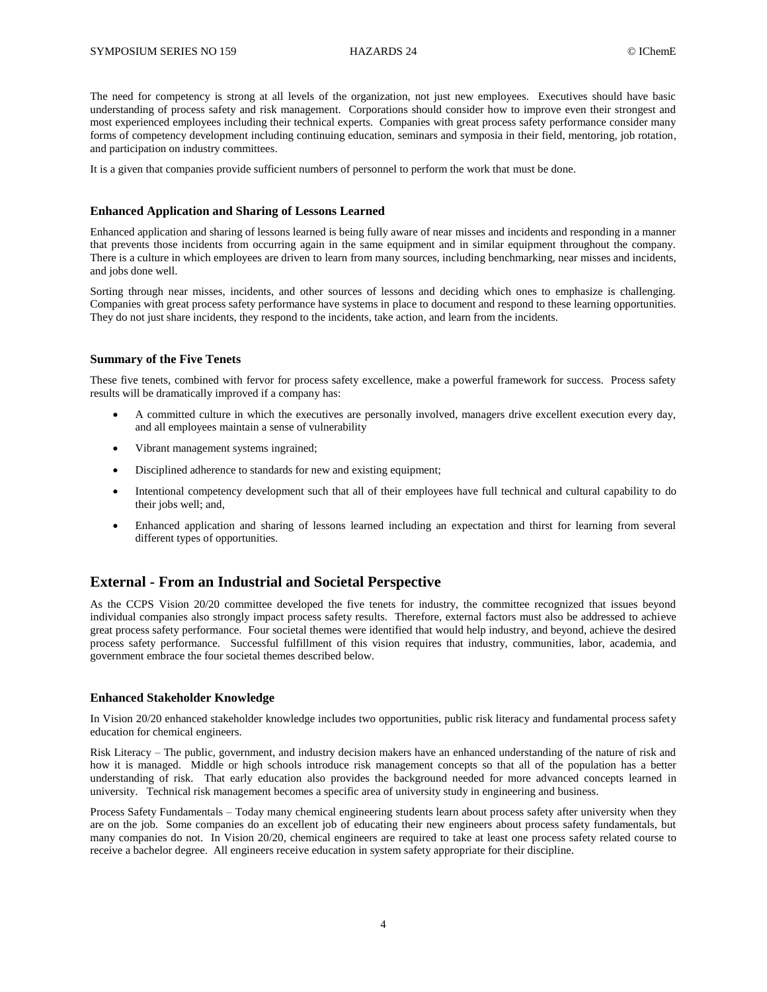The need for competency is strong at all levels of the organization, not just new employees. Executives should have basic understanding of process safety and risk management. Corporations should consider how to improve even their strongest and most experienced employees including their technical experts. Companies with great process safety performance consider many forms of competency development including continuing education, seminars and symposia in their field, mentoring, job rotation, and participation on industry committees.

It is a given that companies provide sufficient numbers of personnel to perform the work that must be done.

#### **Enhanced Application and Sharing of Lessons Learned**

Enhanced application and sharing of lessons learned is being fully aware of near misses and incidents and responding in a manner that prevents those incidents from occurring again in the same equipment and in similar equipment throughout the company. There is a culture in which employees are driven to learn from many sources, including benchmarking, near misses and incidents, and jobs done well.

Sorting through near misses, incidents, and other sources of lessons and deciding which ones to emphasize is challenging. Companies with great process safety performance have systems in place to document and respond to these learning opportunities. They do not just share incidents, they respond to the incidents, take action, and learn from the incidents.

#### **Summary of the Five Tenets**

These five tenets, combined with fervor for process safety excellence, make a powerful framework for success. Process safety results will be dramatically improved if a company has:

- A committed culture in which the executives are personally involved, managers drive excellent execution every day, and all employees maintain a sense of vulnerability
- Vibrant management systems ingrained;
- Disciplined adherence to standards for new and existing equipment;
- Intentional competency development such that all of their employees have full technical and cultural capability to do their jobs well; and,
- Enhanced application and sharing of lessons learned including an expectation and thirst for learning from several different types of opportunities.

## **External - From an Industrial and Societal Perspective**

As the CCPS Vision 20/20 committee developed the five tenets for industry, the committee recognized that issues beyond individual companies also strongly impact process safety results. Therefore, external factors must also be addressed to achieve great process safety performance. Four societal themes were identified that would help industry, and beyond, achieve the desired process safety performance. Successful fulfillment of this vision requires that industry, communities, labor, academia, and government embrace the four societal themes described below.

#### **Enhanced Stakeholder Knowledge**

In Vision 20/20 enhanced stakeholder knowledge includes two opportunities, public risk literacy and fundamental process safety education for chemical engineers.

Risk Literacy – The public, government, and industry decision makers have an enhanced understanding of the nature of risk and how it is managed. Middle or high schools introduce risk management concepts so that all of the population has a better understanding of risk. That early education also provides the background needed for more advanced concepts learned in university. Technical risk management becomes a specific area of university study in engineering and business.

Process Safety Fundamentals – Today many chemical engineering students learn about process safety after university when they are on the job. Some companies do an excellent job of educating their new engineers about process safety fundamentals, but many companies do not. In Vision 20/20, chemical engineers are required to take at least one process safety related course to receive a bachelor degree. All engineers receive education in system safety appropriate for their discipline.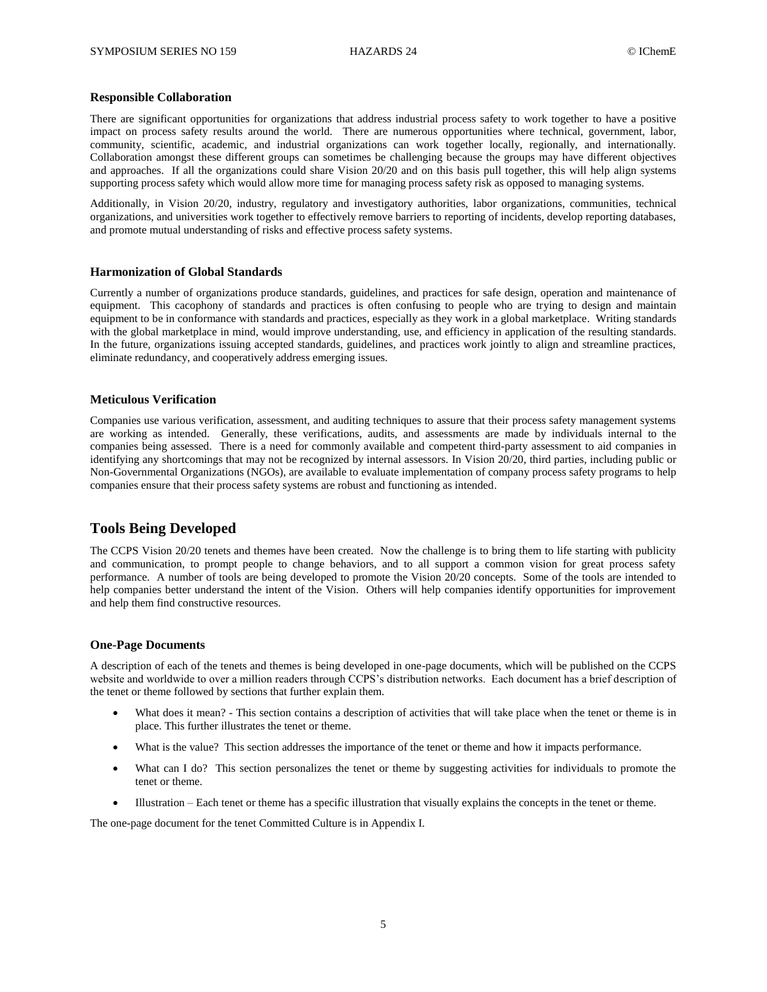#### **Responsible Collaboration**

There are significant opportunities for organizations that address industrial process safety to work together to have a positive impact on process safety results around the world. There are numerous opportunities where technical, government, labor, community, scientific, academic, and industrial organizations can work together locally, regionally, and internationally. Collaboration amongst these different groups can sometimes be challenging because the groups may have different objectives and approaches. If all the organizations could share Vision 20/20 and on this basis pull together, this will help align systems supporting process safety which would allow more time for managing process safety risk as opposed to managing systems.

Additionally, in Vision 20/20, industry, regulatory and investigatory authorities, labor organizations, communities, technical organizations, and universities work together to effectively remove barriers to reporting of incidents, develop reporting databases, and promote mutual understanding of risks and effective process safety systems.

#### **Harmonization of Global Standards**

Currently a number of organizations produce standards, guidelines, and practices for safe design, operation and maintenance of equipment. This cacophony of standards and practices is often confusing to people who are trying to design and maintain equipment to be in conformance with standards and practices, especially as they work in a global marketplace. Writing standards with the global marketplace in mind, would improve understanding, use, and efficiency in application of the resulting standards. In the future, organizations issuing accepted standards, guidelines, and practices work jointly to align and streamline practices, eliminate redundancy, and cooperatively address emerging issues.

#### **Meticulous Verification**

Companies use various verification, assessment, and auditing techniques to assure that their process safety management systems are working as intended. Generally, these verifications, audits, and assessments are made by individuals internal to the companies being assessed. There is a need for commonly available and competent third-party assessment to aid companies in identifying any shortcomings that may not be recognized by internal assessors. In Vision 20/20, third parties, including public or Non-Governmental Organizations (NGOs), are available to evaluate implementation of company process safety programs to help companies ensure that their process safety systems are robust and functioning as intended.

#### **Tools Being Developed**

The CCPS Vision 20/20 tenets and themes have been created. Now the challenge is to bring them to life starting with publicity and communication, to prompt people to change behaviors, and to all support a common vision for great process safety performance. A number of tools are being developed to promote the Vision 20/20 concepts. Some of the tools are intended to help companies better understand the intent of the Vision. Others will help companies identify opportunities for improvement and help them find constructive resources.

#### **One-Page Documents**

A description of each of the tenets and themes is being developed in one-page documents, which will be published on the CCPS website and worldwide to over a million readers through CCPS's distribution networks. Each document has a brief description of the tenet or theme followed by sections that further explain them.

- What does it mean? This section contains a description of activities that will take place when the tenet or theme is in place. This further illustrates the tenet or theme.
- What is the value? This section addresses the importance of the tenet or theme and how it impacts performance.
- What can I do? This section personalizes the tenet or theme by suggesting activities for individuals to promote the tenet or theme.
- Illustration Each tenet or theme has a specific illustration that visually explains the concepts in the tenet or theme.

The one-page document for the tenet Committed Culture is in Appendix I.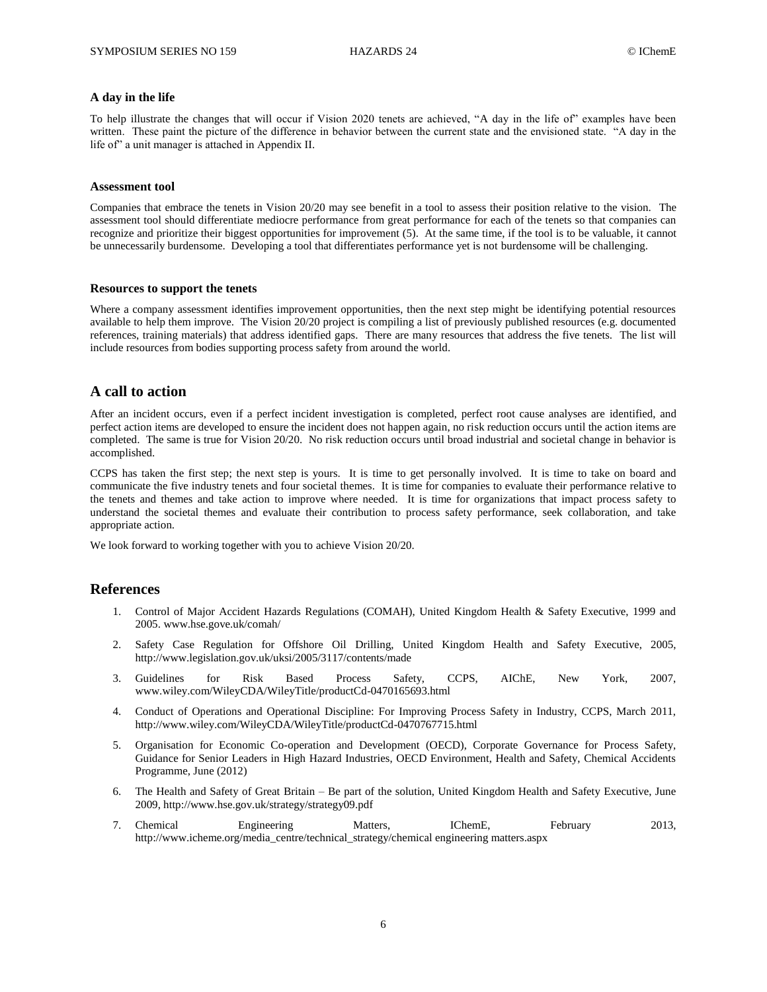#### **A day in the life**

To help illustrate the changes that will occur if Vision 2020 tenets are achieved, "A day in the life of" examples have been written. These paint the picture of the difference in behavior between the current state and the envisioned state. "A day in the life of" a unit manager is attached in Appendix II.

#### **Assessment tool**

Companies that embrace the tenets in Vision 20/20 may see benefit in a tool to assess their position relative to the vision. The assessment tool should differentiate mediocre performance from great performance for each of the tenets so that companies can recognize and prioritize their biggest opportunities for improvement (5). At the same time, if the tool is to be valuable, it cannot be unnecessarily burdensome. Developing a tool that differentiates performance yet is not burdensome will be challenging.

#### **Resources to support the tenets**

Where a company assessment identifies improvement opportunities, then the next step might be identifying potential resources available to help them improve. The Vision 20/20 project is compiling a list of previously published resources (e.g. documented references, training materials) that address identified gaps. There are many resources that address the five tenets. The list will include resources from bodies supporting process safety from around the world.

#### **A call to action**

After an incident occurs, even if a perfect incident investigation is completed, perfect root cause analyses are identified, and perfect action items are developed to ensure the incident does not happen again, no risk reduction occurs until the action items are completed. The same is true for Vision 20/20. No risk reduction occurs until broad industrial and societal change in behavior is accomplished.

CCPS has taken the first step; the next step is yours. It is time to get personally involved. It is time to take on board and communicate the five industry tenets and four societal themes. It is time for companies to evaluate their performance relative to the tenets and themes and take action to improve where needed. It is time for organizations that impact process safety to understand the societal themes and evaluate their contribution to process safety performance, seek collaboration, and take appropriate action.

We look forward to working together with you to achieve Vision 20/20.

#### **References**

- 1. Control of Major Accident Hazards Regulations (COMAH), United Kingdom Health & Safety Executive, 1999 and 2005[. www.hse.gove.uk/comah/](http://www.hse.gove.uk/comah/)
- 2. Safety Case Regulation for Offshore Oil Drilling, United Kingdom Health and Safety Executive, 2005, http://www.legislation.gov.uk/uksi/2005/3117/contents/made
- 3. Guidelines for Risk Based Process Safety, CCPS, AIChE, New York, 2007, www.wiley.com/WileyCDA/WileyTitle/productCd-0470165693.html
- 4. Conduct of Operations and Operational Discipline: For Improving Process Safety in Industry, CCPS, March 2011, <http://www.wiley.com/WileyCDA/WileyTitle/productCd-0470767715.html>
- 5. Organisation for Economic Co-operation and Development (OECD), Corporate Governance for Process Safety, Guidance for Senior Leaders in High Hazard Industries, OECD Environment, Health and Safety, Chemical Accidents Programme, June (2012)
- 6. The Health and Safety of Great Britain Be part of the solution, United Kingdom Health and Safety Executive, June 2009, http://www.hse.gov.uk/strategy/strategy09.pdf
- 7. Chemical Engineering Matters, IChemE, February 2013, [http://www.icheme.org/media\\_centre/technical\\_strategy/chemical engineering matters.aspx](http://www.icheme.org/media_centre/technical_strategy/chemical%20engineering%20matters.aspx)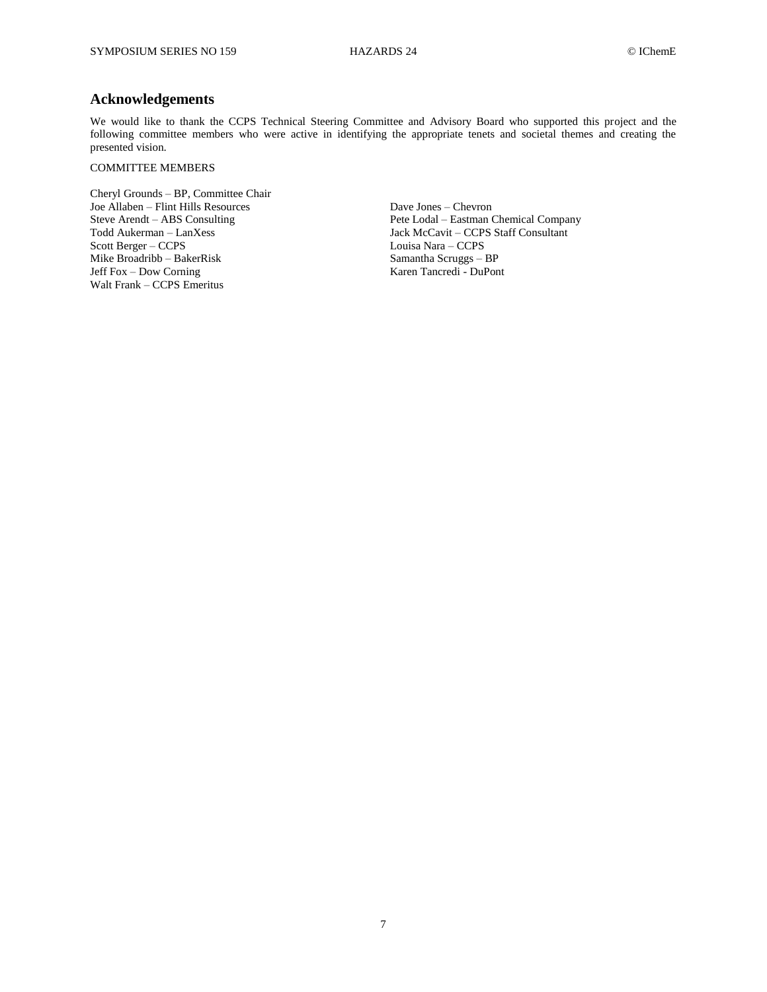## **Acknowledgements**

We would like to thank the CCPS Technical Steering Committee and Advisory Board who supported this project and the following committee members who were active in identifying the appropriate tenets and societal themes and creating the presented vision.

#### COMMITTEE MEMBERS

Cheryl Grounds – BP, Committee Chair Joe Allaben – Flint Hills Resources Dave Jones – Chevron Scott Berger – CCPS Mike Broadribb – BakerRisk Samantha Scruggs – BP Jeff Fox – Dow Corning Karen Tancredi - DuPont Walt Frank – CCPS Emeritus

Steve Arendt – ABS Consulting Pete Lodal – Eastman Chemical Company<br>Todd Aukerman – LanXess Jack McCavit – CCPS Staff Consultant Jack McCavit – CCPS Staff Consultant<br>Louisa Nara – CCPS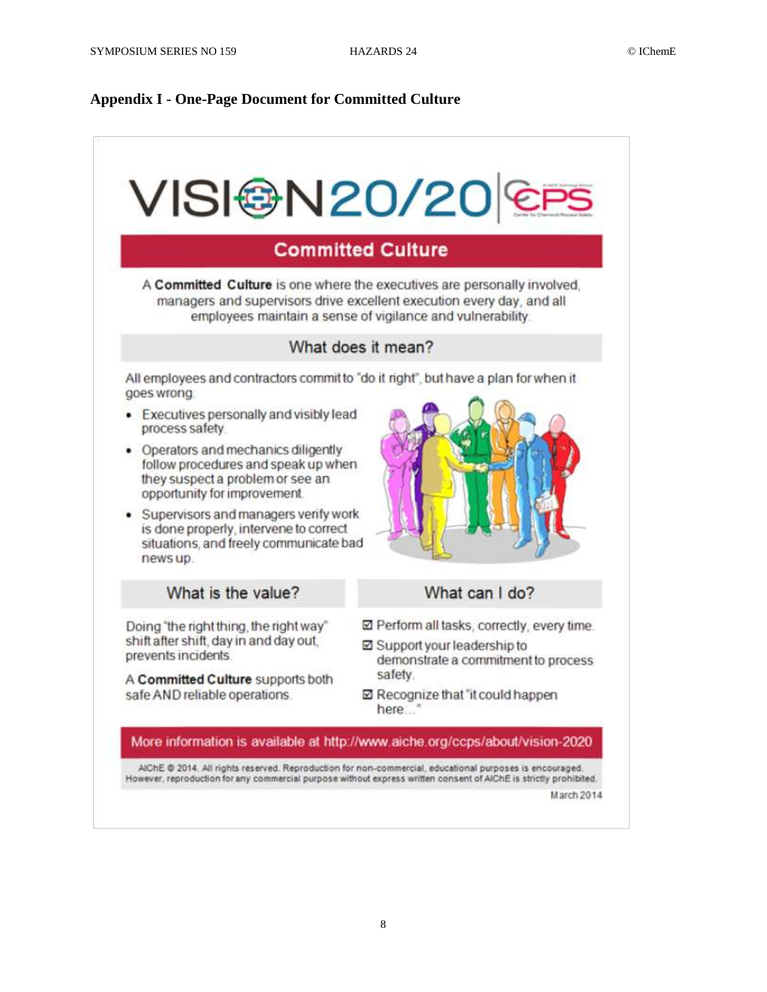## **Appendix I - One-Page Document for Committed Culture**



A Committed Culture is one where the executives are personally involved. managers and supervisors drive excellent execution every day, and all employees maintain a sense of vigilance and vulnerability.

## What does it mean?

All employees and contractors commit to "do it right", but have a plan for when it goes wrong.

- Executives personally and visibly lead process safety
- Operators and mechanics diligently follow procedures and speak up when they suspect a problem or see an opportunity for improvement.
- · Supervisors and managers verify work is done properly, intervene to correct situations, and freely communicate bad news up.

## What is the value?

Doing "the right thing, the right way" shift after shift, day in and day out, prevents incidents.

A Committed Culture supports both safe AND reliable operations.

- - What can I do?
- ☑ Perform all tasks, correctly, every time.
- ☑ Support your leadership to demonstrate a commitment to process safety.
- ☑ Recognize that "it could happen here.

More information is available at http://www.aiche.org/ccps/about/vision-2020

AIChE @ 2014. All rights reserved. Reproduction for non-commercial, educational purposes is encouraged. However, reproduction for any commercial purpose without express written consent of AIChE is strictly prohibited.

March 2014